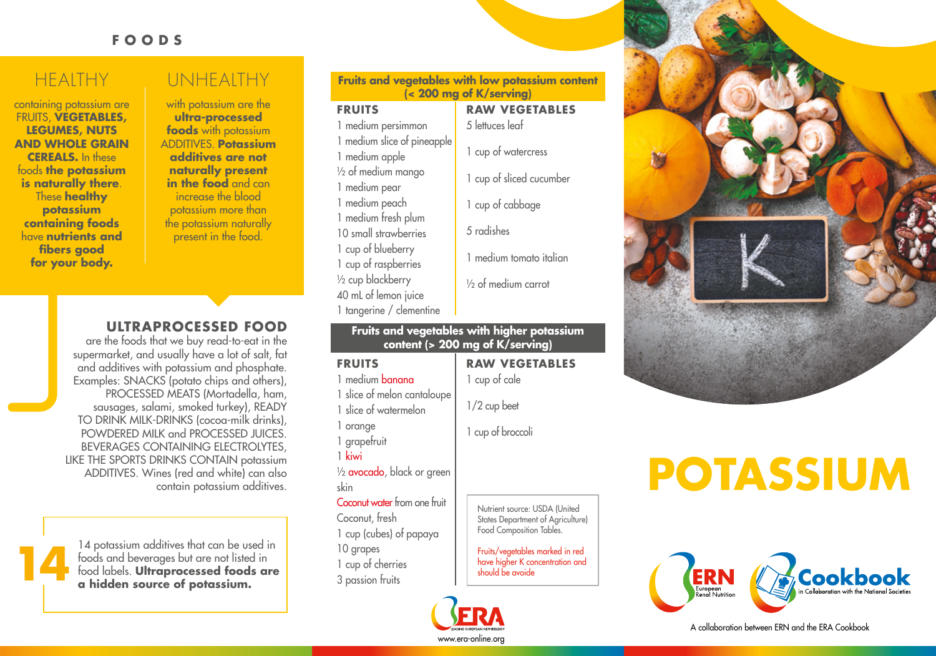### **FOODS**

### HEALTHY

containing potassium are FRUITS, **VEGETABLES, LEGUMES, NUTS AND WHOLE GRAIN CEREALS.** In these foods **the potassium is naturally there**. These **healthy potassium containing foods** have **nutrients and fibers good for your body.**

### UNHEALTHY

with potassium are the **ultra-processed foods** with potassium ADDITIVES. **Potassium additives are not naturally present in the food** and can increase the blood potassium more than the potassium naturally present in the food.

### **ULTRAPROCESSED FOOD**

are the foods that we buy read-to-eat in the supermarket, and usually have a lot of salt, fat and additives with potassium and phosphate. Examples: SNACKS (potato chips and others), PROCESSED MEATS (Mortadella, ham, sausages, salami, smoked turkey), READY TO DRINK MILK-DRINKS (cocoa-milk drinks), POWDERED MILK and PROCESSED JUICES. BEVERAGES CONTAINING ELECTROLYTES, LIKE THE SPORTS DRINKS CONTAIN potassium ADDITIVES. Wines (red and white) can also contain potassium additives.

14 potassium additives that can be used in<br>
14 potassium additives that can be used in<br>
14 potassium and beverages but are not listed in<br>
14 potassium in a hidden source of potassium. foods and beverages but are not listed in food labels. **Ultraprocessed foods are a hidden source of potassium.**

### **Fruits and vegetables with low potassium content (< 200 mg of K/serving)**

**RAW VEGETABLES**

5 lettuces leaf

1 cup of watercress

1 cup of cabbage

5 radishes

1 cup of sliced cucumber

1 medium tomato italian

½ of medium carrot

#### **FRUITS**

1 medium persimmon 1 medium slice of pineapple 1 medium apple ½ of medium mango 1 medium pear 1 medium peach 1 medium fresh plum 10 small strawberries 1 cup of blueberry 1 cup of raspberries ½ cup blackberry 40 mL of lemon juice 1 tangerine / clementine

### **Fruits and vegetables with higher potassium content (> 200 mg of K/serving)**

### **FRUITS**

1 medium banana

1 slice of melon cantaloupe 1 slice of watermelon

1 orange

1 grapefruit

1 kiwi

1/2 avocado, black or green skin

#### Coconut water from one fruit

Coconut, fresh 1 cup (cubes) of papaya 10 grapes 1 cup of cherries 3 passion fruits



# **POTASSIUM**



A collaboration between ERN and the ERA Cookbook

**RAW VEGETABLES** 1 cup of cale

1 cup of broccoli

1/2 cup beet

Nutrient source: USDA (United States Department of Agriculture) Food Composition Tables.

Fruits/vegetables marked in red have higher K concentration and

should be avoide